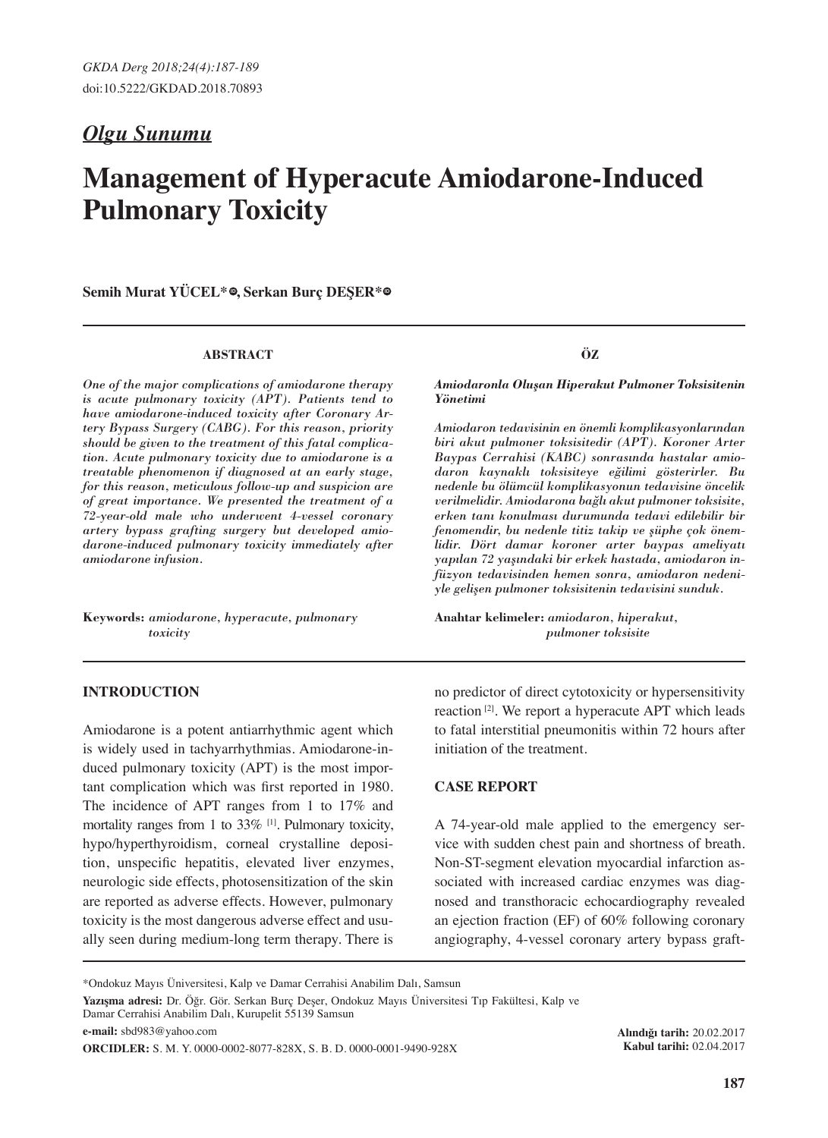# *Olgu Sunumu*

# **Management of Hyperacute Amiodarone-Induced Pulmonary Toxicity**

 $S$ emih Murat YÜCEL<sup>\*</sup> ,  $S$ erkan Burç DESER<sup>\*</sup>  $\Phi$ 

#### **ABSTRACT**

*One of the major complications of amiodarone therapy is acute pulmonary toxicity (APT). Patients tend to have amiodarone-induced toxicity after Coronary Artery Bypass Surgery (CABG). For this reason, priority should be given to the treatment of this fatal complication. Acute pulmonary toxicity due to amiodarone is a treatable phenomenon if diagnosed at an early stage, for this reason, meticulous follow-up and suspicion are of great importance. We presented the treatment of a 72-year-old male who underwent 4-vessel coronary artery bypass grafting surgery but developed amiodarone-induced pulmonary toxicity immediately after amiodarone infusion.*

**Keywords:** *amiodarone, hyperacute, pulmonary toxicity*

# **INTRODUCTION**

Amiodarone is a potent antiarrhythmic agent which is widely used in tachyarrhythmias. Amiodarone-induced pulmonary toxicity (APT) is the most important complication which was first reported in 1980. The incidence of APT ranges from 1 to 17% and mortality ranges from 1 to 33% <sup>[1]</sup>. Pulmonary toxicity, hypo/hyperthyroidism, corneal crystalline deposition, unspecific hepatitis, elevated liver enzymes, neurologic side effects, photosensitization of the skin are reported as adverse effects. However, pulmonary toxicity is the most dangerous adverse effect and usually seen during medium-long term therapy. There is

**ÖZ**

*Amiodaronla Oluşan Hiperakut Pulmoner Toksisitenin Yönetimi*

*Amiodaron tedavisinin en önemli komplikasyonlarından biri akut pulmoner toksisitedir (APT). Koroner Arter Baypas Cerrahisi (KABC) sonrasında hastalar amiodaron kaynaklı toksisiteye eğilimi gösterirler. Bu nedenle bu ölümcül komplikasyonun tedavisine öncelik verilmelidir. Amiodarona bağlı akut pulmoner toksisite, erken tanı konulması durumunda tedavi edilebilir bir fenomendir, bu nedenle titiz takip ve şüphe çok önemlidir. Dört damar koroner arter baypas ameliyatı yapılan 72 yaşındaki bir erkek hastada, amiodaron infüzyon tedavisinden hemen sonra, amiodaron nedeniyle gelişen pulmoner toksisitenin tedavisini sunduk.*

**Anahtar kelimeler:** *amiodaron, hiperakut, pulmoner toksisite*

no predictor of direct cytotoxicity or hypersensitivity reaction [2]. We report a hyperacute APT which leads to fatal interstitial pneumonitis within 72 hours after initiation of the treatment.

# **CASE REPORT**

A 74-year-old male applied to the emergency service with sudden chest pain and shortness of breath. Non-ST-segment elevation myocardial infarction associated with increased cardiac enzymes was diagnosed and transthoracic echocardiography revealed an ejection fraction (EF) of 60% following coronary angiography, 4-vessel coronary artery bypass graft-

\*Ondokuz Mayıs Üniversitesi, Kalp ve Damar Cerrahisi Anabilim Dalı, Samsun

**Yazışma adresi:** Dr. Öğr. Gör. Serkan Burç Deşer, Ondokuz Mayıs Üniversitesi Tıp Fakültesi, Kalp ve Damar Cerrahisi Anabilim Dalı, Kurupelit 55139 Samsun

**e-mail:** sbd983@yahoo.com

**ORCIDLER:** S. M. Y. 0000-0002-8077-828X, S. B. D. 0000-0001-9490-928X

**Alındığı tarih:** 20.02.2017 **Kabul tarihi:** 02.04.2017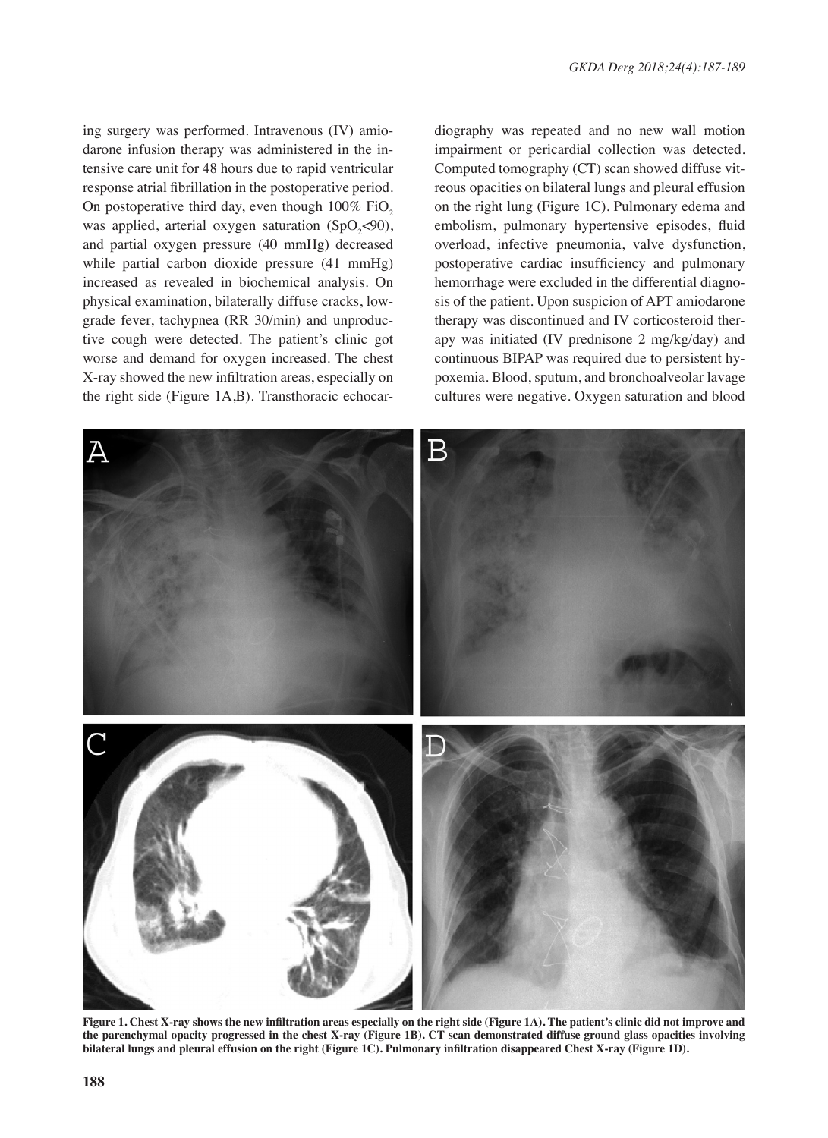ing surgery was performed. Intravenous (IV) amiodarone infusion therapy was administered in the intensive care unit for 48 hours due to rapid ventricular response atrial fibrillation in the postoperative period. On postoperative third day, even though  $100\%$  FiO<sub>2</sub> was applied, arterial oxygen saturation  $(SpO<sub>2</sub>< 90)$ , and partial oxygen pressure (40 mmHg) decreased while partial carbon dioxide pressure (41 mmHg) increased as revealed in biochemical analysis. On physical examination, bilaterally diffuse cracks, lowgrade fever, tachypnea (RR 30/min) and unproductive cough were detected. The patient's clinic got worse and demand for oxygen increased. The chest X-ray showed the new infiltration areas, especially on the right side (Figure 1A,B). Transthoracic echocardiography was repeated and no new wall motion impairment or pericardial collection was detected. Computed tomography (CT) scan showed diffuse vitreous opacities on bilateral lungs and pleural effusion on the right lung (Figure 1C). Pulmonary edema and embolism, pulmonary hypertensive episodes, fluid overload, infective pneumonia, valve dysfunction, postoperative cardiac insufficiency and pulmonary hemorrhage were excluded in the differential diagnosis of the patient. Upon suspicion of APT amiodarone therapy was discontinued and IV corticosteroid therapy was initiated (IV prednisone 2 mg/kg/day) and continuous BIPAP was required due to persistent hypoxemia. Blood, sputum, and bronchoalveolar lavage cultures were negative. Oxygen saturation and blood



**Figure 1. Chest X-ray shows the new infiltration areas especially on the right side (Figure 1A). The patient's clinic did not improve and the parenchymal opacity progressed in the chest X-ray (Figure 1B). CT scan demonstrated diffuse ground glass opacities involving bilateral lungs and pleural effusion on the right (Figure 1C). Pulmonary infiltration disappeared Chest X-ray (Figure 1D).**